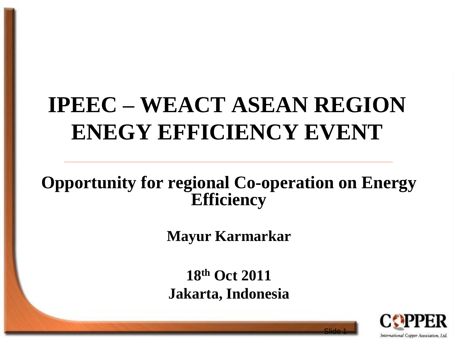## **IPEEC – WEACT ASEAN REGION ENEGY EFFICIENCY EVENT**

#### **Opportunity for regional Co-operation on Energy Efficiency**

**Mayur Karmarkar**

**18th Oct 2011 Jakarta, Indonesia**

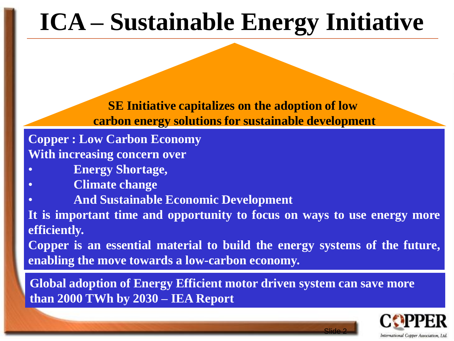# **ICA – Sustainable Energy Initiative**

**SE Initiative capitalizes on the adoption of low carbon energy solutions for sustainable development**

**Copper : Low Carbon Economy With increasing concern over**

- **Energy Shortage,**
- **Climate change**
- **And Sustainable Economic Development**

**It is important time and opportunity to focus on ways to use energy more efficiently.**

**Copper is an essential material to build the energy systems of the future, enabling the move towards a low-carbon economy.**

**Global adoption of Energy Efficient motor driven system can save more than 2000 TWh by 2030 – IEA Report**

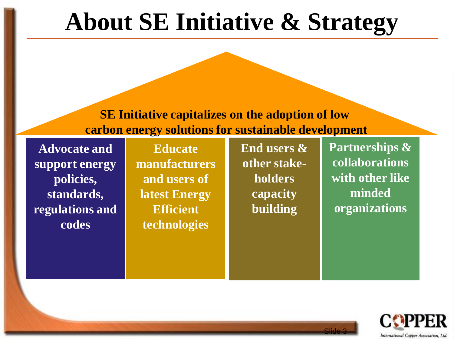### **About SE Initiative & Strategy**

**SE Initiative capitalizes on the adoption of low carbon energy solutions for sustainable development**

**Advocate and support energy policies, standards, regulations and codes**

**Educate manufacturers and users of latest Energy Efficient technologies**

**End users & other stakeholders capacity building**

**Partnerships & collaborations with other like minded organizations**

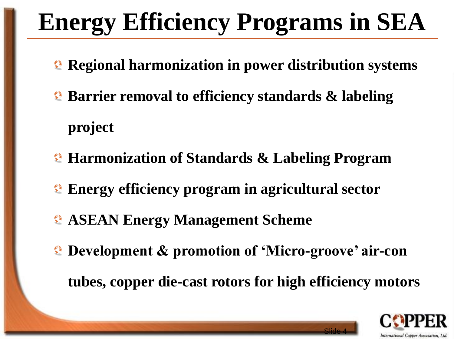# **Energy Efficiency Programs in SEA**

- **Regional harmonization in power distribution systems**
- **Barrier removal to efficiency standards & labeling project**
- **Harmonization of Standards & Labeling Program**
- **Energy efficiency program in agricultural sector**
- **ASEAN Energy Management Scheme**
- **Development & promotion of 'Micro-groove' air-con** 
	- **tubes, copper die-cast rotors for high efficiency motors**